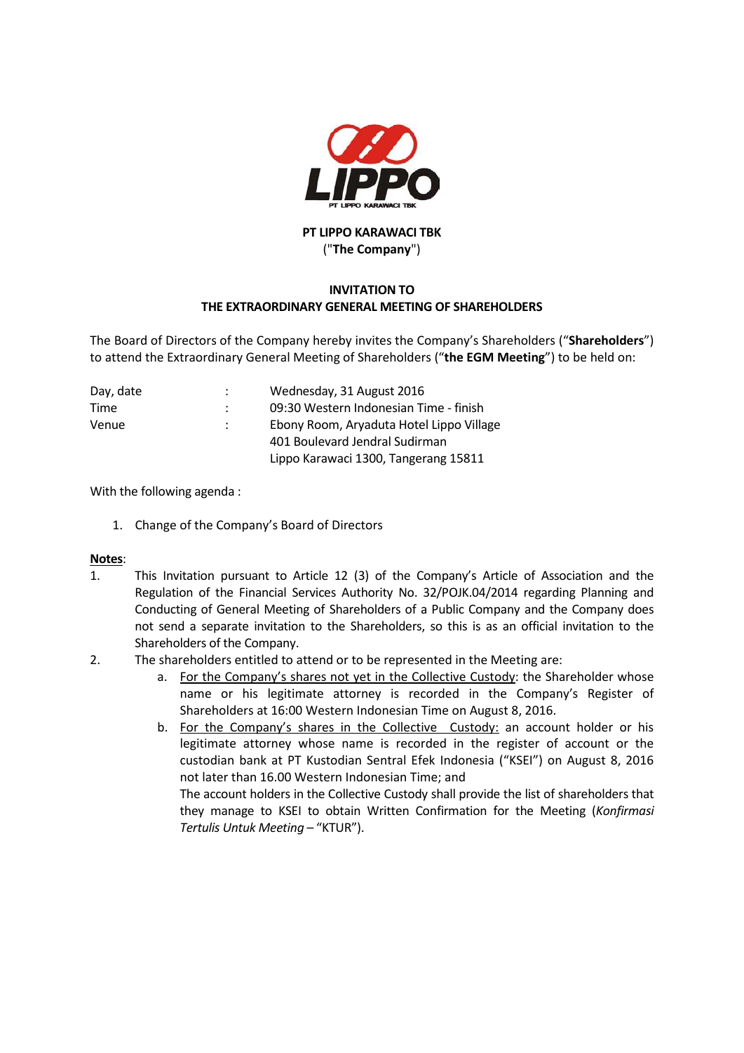

## **PT LIPPO KARAWACI TBK** ("**The Company**")

## **INVITATION TO THE EXTRAORDINARY GENERAL MEETING OF SHAREHOLDERS**

The Board of Directors of the Company hereby invites the Company's Shareholders ("**Shareholders**") to attend the Extraordinary General Meeting of Shareholders ("**the EGM Meeting**") to be held on:

| Day, date | Wednesday, 31 August 2016                |
|-----------|------------------------------------------|
| Time      | 09:30 Western Indonesian Time - finish   |
| Venue     | Ebony Room, Aryaduta Hotel Lippo Village |
|           | 401 Boulevard Jendral Sudirman           |
|           | Lippo Karawaci 1300, Tangerang 15811     |

With the following agenda :

1. Change of the Company's Board of Directors

## **Notes**:

- 1. This Invitation pursuant to Article 12 (3) of the Company's Article of Association and the Regulation of the Financial Services Authority No. 32/POJK.04/2014 regarding Planning and Conducting of General Meeting of Shareholders of a Public Company and the Company does not send a separate invitation to the Shareholders, so this is as an official invitation to the Shareholders of the Company.
- 2. The shareholders entitled to attend or to be represented in the Meeting are:
	- a. For the Company's shares not yet in the Collective Custody: the Shareholder whose name or his legitimate attorney is recorded in the Company's Register of Shareholders at 16:00 Western Indonesian Time on August 8, 2016.
	- b. For the Company's shares in the Collective Custody: an account holder or his legitimate attorney whose name is recorded in the register of account or the custodian bank at PT Kustodian Sentral Efek Indonesia ("KSEI") on August 8, 2016 not later than 16.00 Western Indonesian Time; and The account holders in the Collective Custody shall provide the list of shareholders that

they manage to KSEI to obtain Written Confirmation for the Meeting (*Konfirmasi Tertulis Untuk Meeting* – "KTUR").